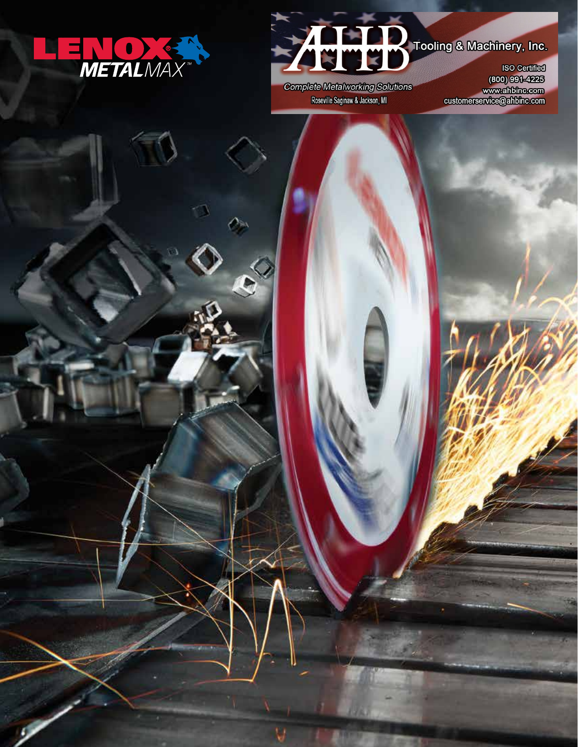



**Complete Metalworking Solutions** Roseville Saginaw & Jackson, MI

800) 991-4225<br>www.ahbine.com<br>customerservice@ahbinc.com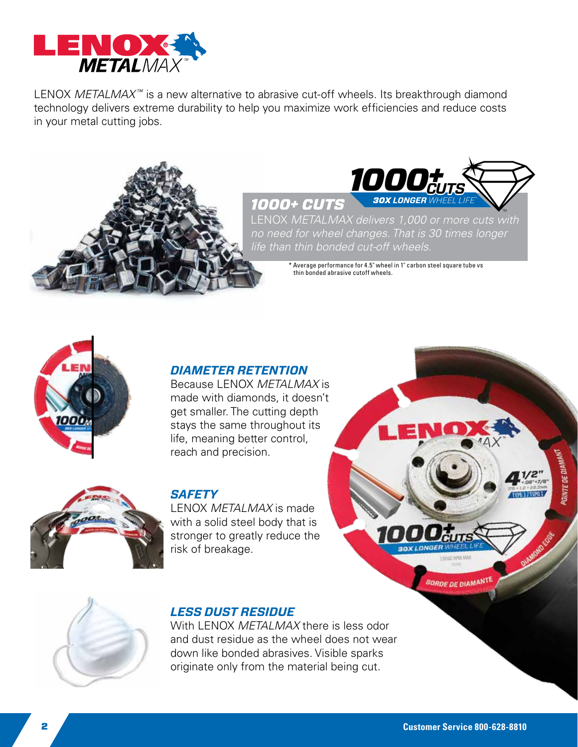

LENOX *METALMAX<sup>™</sup>* is a new alternative to abrasive cut-off wheels. Its breakthrough diamond technology delivers extreme durability to help you maximize work efficiencies and reduce costs in your metal cutting jobs.





**LENOX METALMAX delivers 1,000 or more cuts with** *no need for wheel changes. That is 30 times longer life than thin bonded cut-off wheels.*

> $^*$  Average performance for 4.5" wheel in 1" carbon steel square tube vs thin bonded abrasive cutoff wheels.



### *DIAMETER RETENTION*

Because LENOX *MetalMax* is made with diamonds, it doesn't get smaller. The cutting depth stays the same throughout its life, meaning better control, reach and precision.



#### *Safety*

LENOX *MetalMax* is made with a solid steel body that is stronger to greatly reduce the risk of breakage.

# *LESS DUST RESIDUE*

With LENOX *METALMAX* there is less odor and dust residue as the wheel does not wear down like bonded abrasives. Visible sparks originate only from the material being cut.

**BORDE DE DIAMANTE** 

TYPE LITTER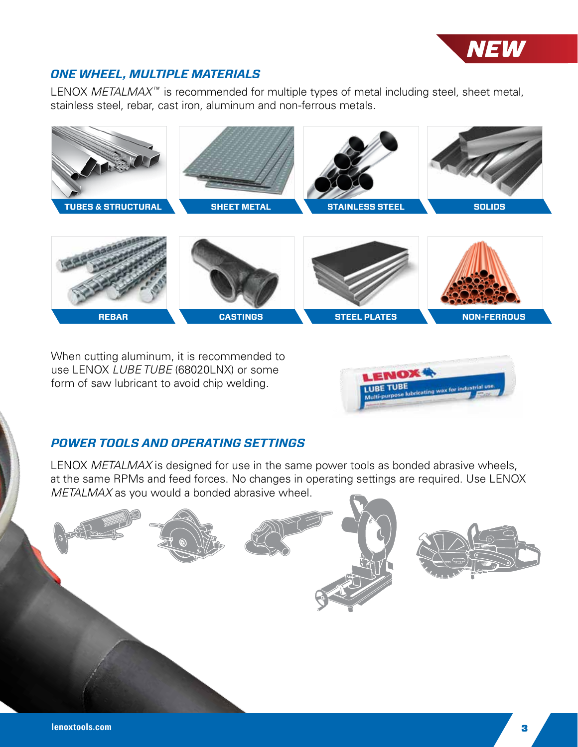

## *one wheel, multiple Materials*

LENOX *METALMAX<sup>™</sup>* is recommended for multiple types of metal including steel, sheet metal, stainless steel, rebar, cast iron, aluminum and non-ferrous metals.



When cutting aluminum, it is recommended to use LENOX *LUBE TUBE* (68020LNX) or some form of saw lubricant to avoid chip welding.



## *Power Tools and operating settings*

LENOX *METALMAX* is designed for use in the same power tools as bonded abrasive wheels, at the same RPMs and feed forces. No changes in operating settings are required. Use LENOX *METALMAX* as you would a bonded abrasive wheel.